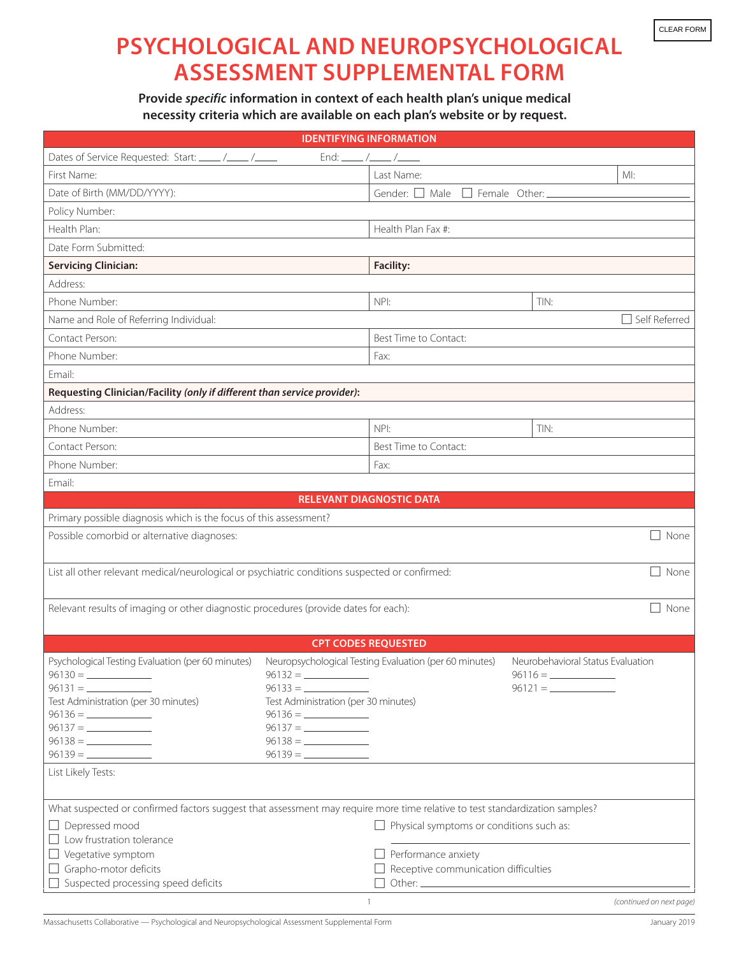## **PSYCHOLOGICAL AND NEUROPSYCHOLOGICAL ASSESSMENT SUPPLEMENTAL FORM**

**Provide** *specific* **information in context of each health plan's unique medical necessity criteria which are available on each plan's website or by request.**

| <b>IDENTIFYING INFORMATION</b>                                                                                              |                                                   |                                                        |                                   |                          |
|-----------------------------------------------------------------------------------------------------------------------------|---------------------------------------------------|--------------------------------------------------------|-----------------------------------|--------------------------|
| Dates of Service Requested: Start: _____ /____ /_____                                                                       | End: _____ /_____ /_____                          |                                                        |                                   |                          |
| First Name:                                                                                                                 |                                                   | Last Name:                                             |                                   | MI:                      |
| Date of Birth (MM/DD/YYYY):                                                                                                 |                                                   | Gender: $\Box$ Male<br>$\Box$ Female Other:            |                                   |                          |
| Policy Number:                                                                                                              |                                                   |                                                        |                                   |                          |
| Health Plan:                                                                                                                |                                                   | Health Plan Fax #:                                     |                                   |                          |
| Date Form Submitted:                                                                                                        |                                                   |                                                        |                                   |                          |
| <b>Servicing Clinician:</b>                                                                                                 |                                                   | <b>Facility:</b>                                       |                                   |                          |
| Address:                                                                                                                    |                                                   |                                                        |                                   |                          |
| Phone Number:                                                                                                               |                                                   | NPI:                                                   | TIN:                              |                          |
| Name and Role of Referring Individual:                                                                                      |                                                   |                                                        |                                   | Self Referred            |
| Contact Person:                                                                                                             |                                                   | Best Time to Contact:                                  |                                   |                          |
| Phone Number:                                                                                                               |                                                   | Fax:                                                   |                                   |                          |
| Email:                                                                                                                      |                                                   |                                                        |                                   |                          |
| Requesting Clinician/Facility (only if different than service provider):                                                    |                                                   |                                                        |                                   |                          |
| Address:                                                                                                                    |                                                   |                                                        |                                   |                          |
| Phone Number:                                                                                                               |                                                   | NP!                                                    | TIN:                              |                          |
| Contact Person:                                                                                                             |                                                   | Best Time to Contact:                                  |                                   |                          |
| Phone Number:                                                                                                               |                                                   | Fax:                                                   |                                   |                          |
| Email:                                                                                                                      |                                                   |                                                        |                                   |                          |
|                                                                                                                             | <b>RELEVANT DIAGNOSTIC DATA</b>                   |                                                        |                                   |                          |
| Primary possible diagnosis which is the focus of this assessment?                                                           |                                                   |                                                        |                                   |                          |
| Possible comorbid or alternative diagnoses:<br>None                                                                         |                                                   |                                                        |                                   |                          |
|                                                                                                                             |                                                   |                                                        |                                   |                          |
| List all other relevant medical/neurological or psychiatric conditions suspected or confirmed:<br>$\Box$ None               |                                                   |                                                        |                                   |                          |
|                                                                                                                             |                                                   |                                                        |                                   |                          |
| Relevant results of imaging or other diagnostic procedures (provide dates for each):<br>None                                |                                                   |                                                        |                                   |                          |
|                                                                                                                             |                                                   |                                                        |                                   |                          |
|                                                                                                                             | <b>CPT CODES REQUESTED</b>                        |                                                        |                                   |                          |
| Psychological Testing Evaluation (per 60 minutes)                                                                           |                                                   | Neuropsychological Testing Evaluation (per 60 minutes) | Neurobehavioral Status Evaluation |                          |
|                                                                                                                             |                                                   |                                                        |                                   |                          |
| Test Administration (per 30 minutes)                                                                                        | $96133 =$<br>Test Administration (per 30 minutes) |                                                        |                                   |                          |
|                                                                                                                             |                                                   |                                                        |                                   |                          |
|                                                                                                                             | $96137 = \_$                                      |                                                        |                                   |                          |
|                                                                                                                             |                                                   |                                                        |                                   |                          |
|                                                                                                                             |                                                   |                                                        |                                   |                          |
| List Likely Tests:                                                                                                          |                                                   |                                                        |                                   |                          |
|                                                                                                                             |                                                   |                                                        |                                   |                          |
| What suspected or confirmed factors suggest that assessment may require more time relative to test standardization samples? |                                                   |                                                        |                                   |                          |
| $\Box$ Depressed mood                                                                                                       |                                                   | $\Box$ Physical symptoms or conditions such as:        |                                   |                          |
| $\Box$ Low frustration tolerance                                                                                            |                                                   |                                                        |                                   |                          |
| $\Box$ Vegetative symptom                                                                                                   |                                                   | $\Box$ Performance anxiety                             |                                   |                          |
| $\Box$ Grapho-motor deficits                                                                                                |                                                   | $\Box$ Receptive communication difficulties            |                                   |                          |
| $\Box$ Suspected processing speed deficits                                                                                  |                                                   |                                                        |                                   |                          |
|                                                                                                                             |                                                   |                                                        |                                   | (continued on next page) |

 $\overline{a}$